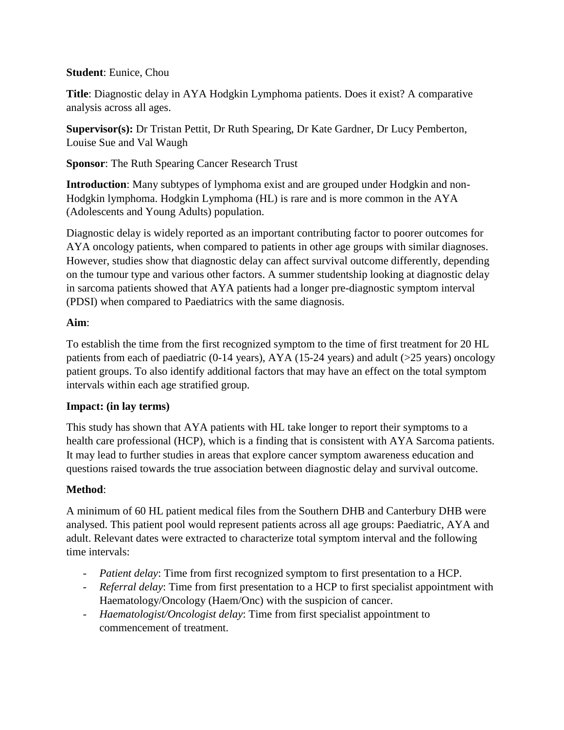#### **Student**: Eunice, Chou

**Title**: Diagnostic delay in AYA Hodgkin Lymphoma patients. Does it exist? A comparative analysis across all ages.

**Supervisor(s):** Dr Tristan Pettit, Dr Ruth Spearing, Dr Kate Gardner, Dr Lucy Pemberton, Louise Sue and Val Waugh

**Sponsor**: The Ruth Spearing Cancer Research Trust

**Introduction**: Many subtypes of lymphoma exist and are grouped under Hodgkin and non-Hodgkin lymphoma. Hodgkin Lymphoma (HL) is rare and is more common in the AYA (Adolescents and Young Adults) population.

Diagnostic delay is widely reported as an important contributing factor to poorer outcomes for AYA oncology patients, when compared to patients in other age groups with similar diagnoses. However, studies show that diagnostic delay can affect survival outcome differently, depending on the tumour type and various other factors. A summer studentship looking at diagnostic delay in sarcoma patients showed that AYA patients had a longer pre-diagnostic symptom interval (PDSI) when compared to Paediatrics with the same diagnosis.

### **Aim**:

To establish the time from the first recognized symptom to the time of first treatment for 20 HL patients from each of paediatric (0-14 years), AYA (15-24 years) and adult (>25 years) oncology patient groups. To also identify additional factors that may have an effect on the total symptom intervals within each age stratified group.

### **Impact: (in lay terms)**

This study has shown that AYA patients with HL take longer to report their symptoms to a health care professional (HCP), which is a finding that is consistent with AYA Sarcoma patients. It may lead to further studies in areas that explore cancer symptom awareness education and questions raised towards the true association between diagnostic delay and survival outcome.

### **Method**:

A minimum of 60 HL patient medical files from the Southern DHB and Canterbury DHB were analysed. This patient pool would represent patients across all age groups: Paediatric, AYA and adult. Relevant dates were extracted to characterize total symptom interval and the following time intervals:

- *Patient delay*: Time from first recognized symptom to first presentation to a HCP.
- *Referral delay*: Time from first presentation to a HCP to first specialist appointment with Haematology/Oncology (Haem/Onc) with the suspicion of cancer.
- *Haematologist/Oncologist delay*: Time from first specialist appointment to commencement of treatment.